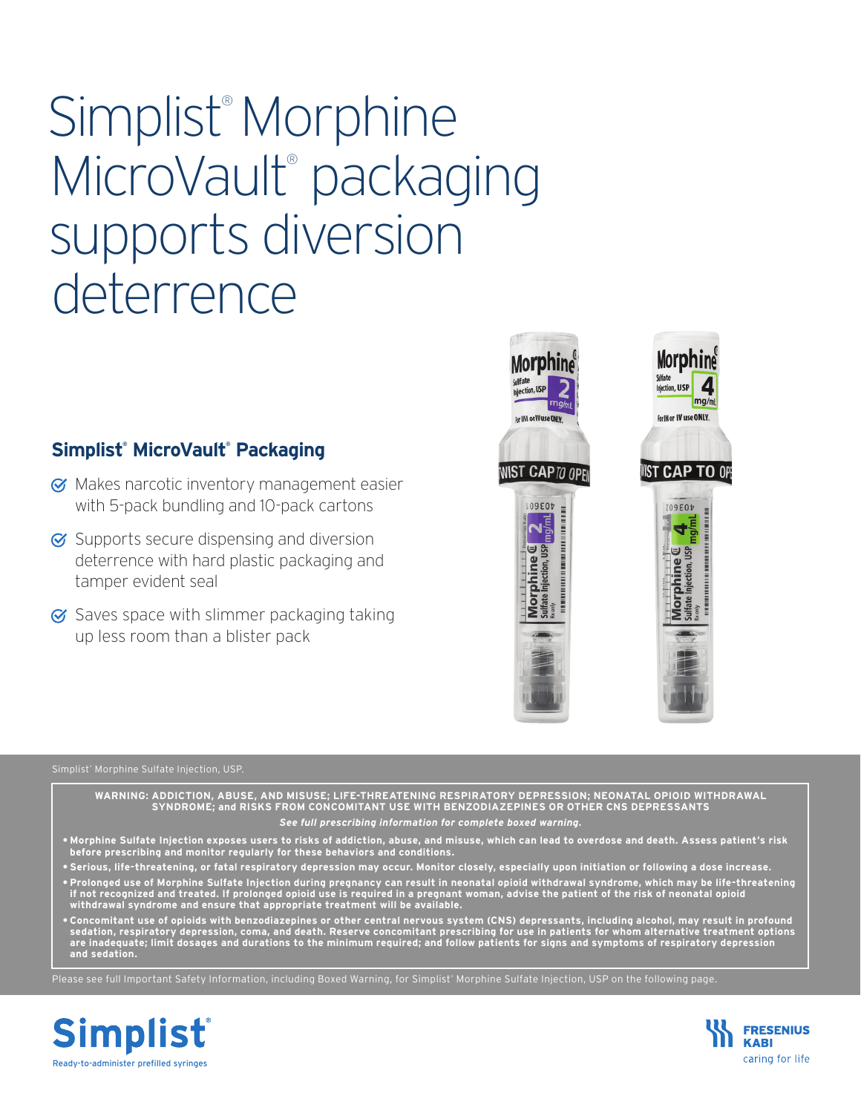# Simplist® Morphine MicroVault® packaging supports diversion deterrence

### **Simplist® MicroVault® Packaging**

- **Ø** Makes narcotic inventory management easier with 5-pack bundling and 10-pack cartons
- $\sigma$  Supports secure dispensing and diversion deterrence with hard plastic packaging and tamper evident seal
- $\sigma$  Saves space with slimmer packaging taking up less room than a blister pack



 $mq/m$ 

#### Simplist® Morphine Sulfate Injection, USP.

**WARNING: ADDICTION, ABUSE, AND MISUSE; LIFE-THREATENING RESPIRATORY DEPRESSION; NEONATAL OPIOID WITHDRAWAL SYNDROME; and RISKS FROM CONCOMITANT USE WITH BENZODIAZEPINES OR OTHER CNS DEPRESSANTS**

#### *See full prescribing information for complete boxed warning.*

- **• Morphine Sulfate Injection exposes users to risks of addiction, abuse, and misuse, which can lead to overdose and death. Assess patient's risk before prescribing and monitor regularly for these behaviors and conditions.**
- **• Serious, life-threatening, or fatal respiratory depression may occur. Monitor closely, especially upon initiation or following a dose increase.**
- **• Prolonged use of Morphine Sulfate Injection during pregnancy can result in neonatal opioid withdrawal syndrome, which may be life-threatening if not recognized and treated. If prolonged opioid use is required in a pregnant woman, advise the patient of the risk of neonatal opioid withdrawal syndrome and ensure that appropriate treatment will be available.**
- **• Concomitant use of opioids with benzodiazepines or other central nervous system (CNS) depressants, including alcohol, may result in profound sedation, respiratory depression, coma, and death. Reserve concomitant prescribing for use in patients for whom alternative treatment options are inadequate; limit dosages and durations to the minimum required; and follow patients for signs and symptoms of respiratory depression and sedation.**

Please see full Important Safety Information, including Boxed Warning, for Simplist® Morphine Sulfate Injection, USP on the following page.